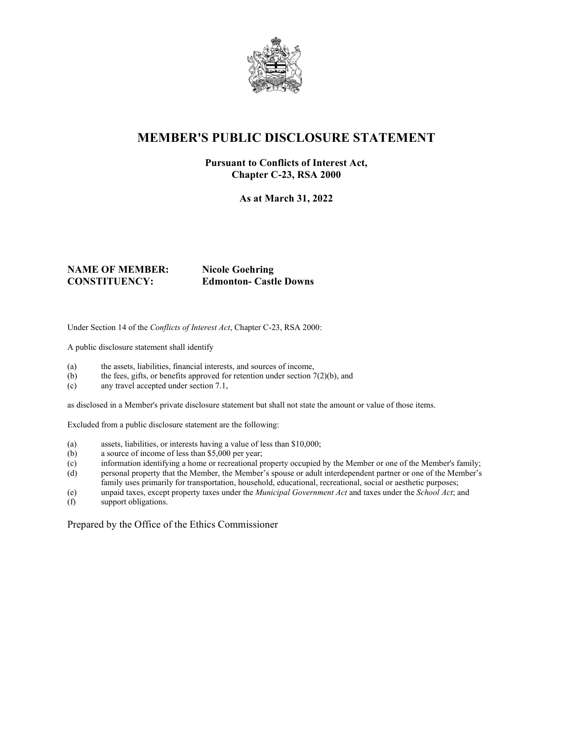

## **MEMBER'S PUBLIC DISCLOSURE STATEMENT**

### **Pursuant to Conflicts of Interest Act, Chapter C-23, RSA 2000**

**As at March 31, 2022**

### **NAME OF MEMBER: Nicole Goehring CONSTITUENCY: Edmonton- Castle Downs**

Under Section 14 of the *Conflicts of Interest Act*, Chapter C-23, RSA 2000:

A public disclosure statement shall identify

- (a) the assets, liabilities, financial interests, and sources of income,
- (b) the fees, gifts, or benefits approved for retention under section  $7(2)(b)$ , and
- (c) any travel accepted under section 7.1,

as disclosed in a Member's private disclosure statement but shall not state the amount or value of those items.

Excluded from a public disclosure statement are the following:

- (a) assets, liabilities, or interests having a value of less than \$10,000;
- (b) a source of income of less than \$5,000 per year;
- (c) information identifying a home or recreational property occupied by the Member or one of the Member's family;
- (d) personal property that the Member, the Member's spouse or adult interdependent partner or one of the Member's family uses primarily for transportation, household, educational, recreational, social or aesthetic purposes;
- (e) unpaid taxes, except property taxes under the *Municipal Government Act* and taxes under the *School Act*; and
- support obligations.

Prepared by the Office of the Ethics Commissioner